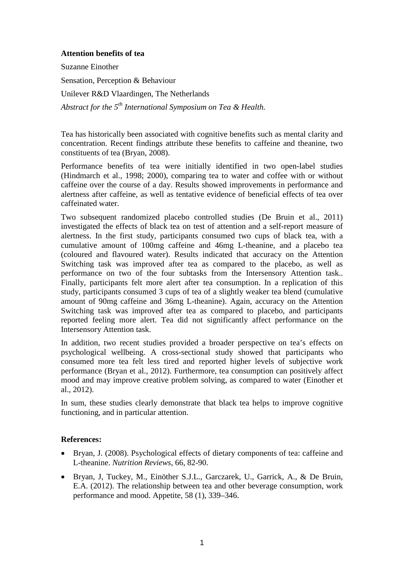## **Attention benefits of tea**

Suzanne Einother Sensation, Perception & Behaviour Unilever R&D Vlaardingen, The Netherlands

*Abstract for the 5th International Symposium on Tea & Health.*

Tea has historically been associated with cognitive benefits such as mental clarity and concentration. Recent findings attribute these benefits to caffeine and theanine, two constituents of tea (Bryan, 2008).

Performance benefits of tea were initially identified in two open-label studies (Hindmarch et al., 1998; 2000), comparing tea to water and coffee with or without caffeine over the course of a day. Results showed improvements in performance and alertness after caffeine, as well as tentative evidence of beneficial effects of tea over caffeinated water.

Two subsequent randomized placebo controlled studies (De Bruin et al., 2011) investigated the effects of black tea on test of attention and a self-report measure of alertness. In the first study, participants consumed two cups of black tea, with a cumulative amount of 100mg caffeine and 46mg L-theanine, and a placebo tea (coloured and flavoured water). Results indicated that accuracy on the Attention Switching task was improved after tea as compared to the placebo, as well as performance on two of the four subtasks from the Intersensory Attention task.. Finally, participants felt more alert after tea consumption. In a replication of this study, participants consumed 3 cups of tea of a slightly weaker tea blend (cumulative amount of 90mg caffeine and 36mg L-theanine). Again, accuracy on the Attention Switching task was improved after tea as compared to placebo, and participants reported feeling more alert. Tea did not significantly affect performance on the Intersensory Attention task.

In addition, two recent studies provided a broader perspective on tea's effects on psychological wellbeing. A cross-sectional study showed that participants who consumed more tea felt less tired and reported higher levels of subjective work performance (Bryan et al., 2012). Furthermore, tea consumption can positively affect mood and may improve creative problem solving, as compared to water (Einother et al., 2012).

In sum, these studies clearly demonstrate that black tea helps to improve cognitive functioning, and in particular attention.

## **References:**

- Bryan, J. (2008). Psychological effects of dietary components of tea: caffeine and L-theanine. *Nutrition Reviews*, 66, 82-90.
- Bryan, J, Tuckey, M., Einöther S.J.L., Garczarek, U., Garrick, A., & De Bruin, E.A. (2012). The relationship between tea and other beverage consumption, work performance and mood. Appetite, 58 (1), 339–346.